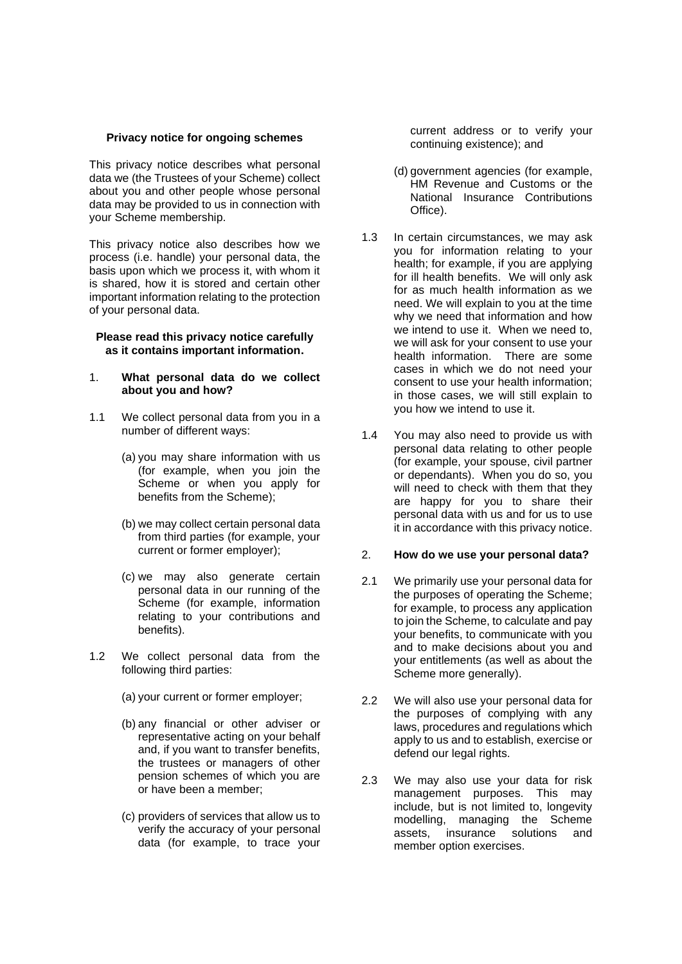#### **Privacy notice for ongoing schemes**

This privacy notice describes what personal data we (the Trustees of your Scheme) collect about you and other people whose personal data may be provided to us in connection with your Scheme membership.

This privacy notice also describes how we process (i.e. handle) your personal data, the basis upon which we process it, with whom it is shared, how it is stored and certain other important information relating to the protection of your personal data.

#### **Please read this privacy notice carefully as it contains important information.**

#### 1. **What personal data do we collect about you and how?**

- 1.1 We collect personal data from you in a number of different ways:
	- (a) you may share information with us (for example, when you join the Scheme or when you apply for benefits from the Scheme);
	- (b) we may collect certain personal data from third parties (for example, your current or former employer);
	- (c) we may also generate certain personal data in our running of the Scheme (for example, information relating to your contributions and benefits).
- 1.2 We collect personal data from the following third parties:
	- (a) your current or former employer;
	- (b) any financial or other adviser or representative acting on your behalf and, if you want to transfer benefits, the trustees or managers of other pension schemes of which you are or have been a member;
	- (c) providers of services that allow us to verify the accuracy of your personal data (for example, to trace your

current address or to verify your continuing existence); and

- (d) government agencies (for example, HM Revenue and Customs or the National Insurance Contributions Office).
- 1.3 In certain circumstances, we may ask you for information relating to your health; for example, if you are applying for ill health benefits. We will only ask for as much health information as we need. We will explain to you at the time why we need that information and how we intend to use it. When we need to, we will ask for your consent to use your health information. There are some cases in which we do not need your consent to use your health information; in those cases, we will still explain to you how we intend to use it.
- 1.4 You may also need to provide us with personal data relating to other people (for example, your spouse, civil partner or dependants). When you do so, you will need to check with them that they are happy for you to share their personal data with us and for us to use it in accordance with this privacy notice.

#### 2. **How do we use your personal data?**

- 2.1 We primarily use your personal data for the purposes of operating the Scheme; for example, to process any application to join the Scheme, to calculate and pay your benefits, to communicate with you and to make decisions about you and your entitlements (as well as about the Scheme more generally).
- 2.2 We will also use your personal data for the purposes of complying with any laws, procedures and regulations which apply to us and to establish, exercise or defend our legal rights.
- 2.3 We may also use your data for risk management purposes. This may include, but is not limited to, longevity modelling, managing the Scheme assets, insurance solutions and member option exercises.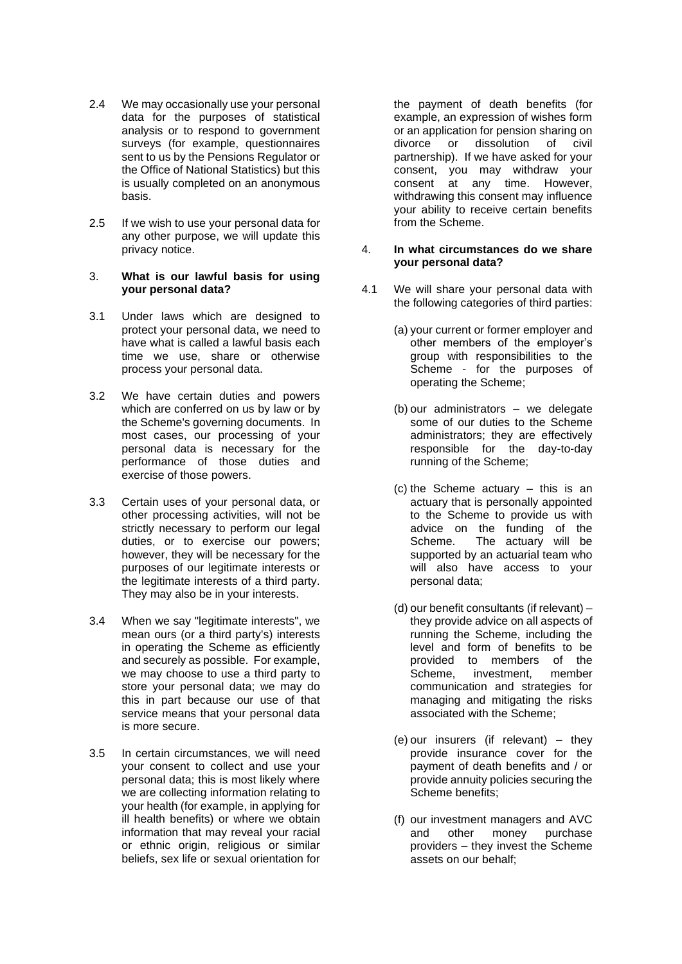- 2.4 We may occasionally use your personal data for the purposes of statistical analysis or to respond to government surveys (for example, questionnaires sent to us by the Pensions Regulator or the Office of National Statistics) but this is usually completed on an anonymous basis.
- 2.5 If we wish to use your personal data for any other purpose, we will update this privacy notice.

## 3. **What is our lawful basis for using your personal data?**

- 3.1 Under laws which are designed to protect your personal data, we need to have what is called a lawful basis each time we use, share or otherwise process your personal data.
- 3.2 We have certain duties and powers which are conferred on us by law or by the Scheme's governing documents. In most cases, our processing of your personal data is necessary for the performance of those duties and exercise of those powers.
- 3.3 Certain uses of your personal data, or other processing activities, will not be strictly necessary to perform our legal duties, or to exercise our powers; however, they will be necessary for the purposes of our legitimate interests or the legitimate interests of a third party. They may also be in your interests.
- 3.4 When we say "legitimate interests", we mean ours (or a third party's) interests in operating the Scheme as efficiently and securely as possible. For example, we may choose to use a third party to store your personal data; we may do this in part because our use of that service means that your personal data is more secure.
- 3.5 In certain circumstances, we will need your consent to collect and use your personal data; this is most likely where we are collecting information relating to your health (for example, in applying for ill health benefits) or where we obtain information that may reveal your racial or ethnic origin, religious or similar beliefs, sex life or sexual orientation for

the payment of death benefits (for example, an expression of wishes form or an application for pension sharing on divorce or dissolution of civil partnership). If we have asked for your consent, you may withdraw your consent at any time. However, withdrawing this consent may influence your ability to receive certain benefits from the Scheme.

# 4. **In what circumstances do we share your personal data?**

- 4.1 We will share your personal data with the following categories of third parties:
	- (a) your current or former employer and other members of the employer's group with responsibilities to the Scheme - for the purposes of operating the Scheme;
	- (b) our administrators we delegate some of our duties to the Scheme administrators; they are effectively responsible for the day-to-day running of the Scheme;
	- (c) the Scheme actuary this is an actuary that is personally appointed to the Scheme to provide us with advice on the funding of the<br>Scheme. The actuary will be The actuary will be supported by an actuarial team who will also have access to your personal data;
	- (d) our benefit consultants (if relevant) they provide advice on all aspects of running the Scheme, including the level and form of benefits to be provided to members of the Scheme, investment, member communication and strategies for managing and mitigating the risks associated with the Scheme;
	- (e) our insurers (if relevant) they provide insurance cover for the payment of death benefits and / or provide annuity policies securing the Scheme benefits;
	- (f) our investment managers and AVC and other money purchase providers – they invest the Scheme assets on our behalf;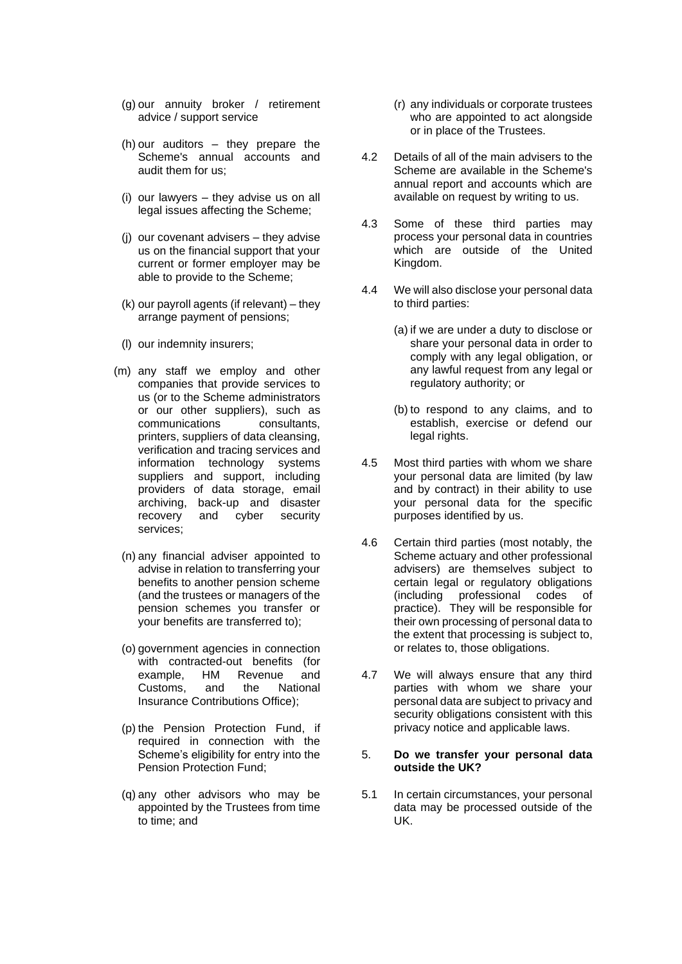- (g) our annuity broker / retirement advice / support service
- (h) our auditors they prepare the Scheme's annual accounts and audit them for us;
- (i) our lawyers they advise us on all legal issues affecting the Scheme;
- (j) our covenant advisers they advise us on the financial support that your current or former employer may be able to provide to the Scheme;
- (k) our payroll agents (if relevant) they arrange payment of pensions;
- (l) our indemnity insurers;
- (m) any staff we employ and other companies that provide services to us (or to the Scheme administrators or our other suppliers), such as communications consultants, printers, suppliers of data cleansing, verification and tracing services and information technology systems suppliers and support, including providers of data storage, email archiving, back-up and disaster recovery and cyber security services;
	- (n) any financial adviser appointed to advise in relation to transferring your benefits to another pension scheme (and the trustees or managers of the pension schemes you transfer or your benefits are transferred to);
	- (o) government agencies in connection with contracted-out benefits (for example, HM Revenue and Customs, and the National Insurance Contributions Office);
	- (p) the Pension Protection Fund, if required in connection with the Scheme's eligibility for entry into the Pension Protection Fund;
	- (q) any other advisors who may be appointed by the Trustees from time to time; and
- (r) any individuals or corporate trustees who are appointed to act alongside or in place of the Trustees.
- 4.2 Details of all of the main advisers to the Scheme are available in the Scheme's annual report and accounts which are available on request by writing to us.
- 4.3 Some of these third parties may process your personal data in countries which are outside of the United Kingdom.
- 4.4 We will also disclose your personal data to third parties:
	- (a) if we are under a duty to disclose or share your personal data in order to comply with any legal obligation, or any lawful request from any legal or regulatory authority; or
	- (b) to respond to any claims, and to establish, exercise or defend our legal rights.
- 4.5 Most third parties with whom we share your personal data are limited (by law and by contract) in their ability to use your personal data for the specific purposes identified by us.
- 4.6 Certain third parties (most notably, the Scheme actuary and other professional advisers) are themselves subject to certain legal or regulatory obligations (including professional codes of practice). They will be responsible for their own processing of personal data to the extent that processing is subject to, or relates to, those obligations.
- 4.7 We will always ensure that any third parties with whom we share your personal data are subject to privacy and security obligations consistent with this privacy notice and applicable laws.

## 5. **Do we transfer your personal data outside the UK?**

5.1 In certain circumstances, your personal data may be processed outside of the UK.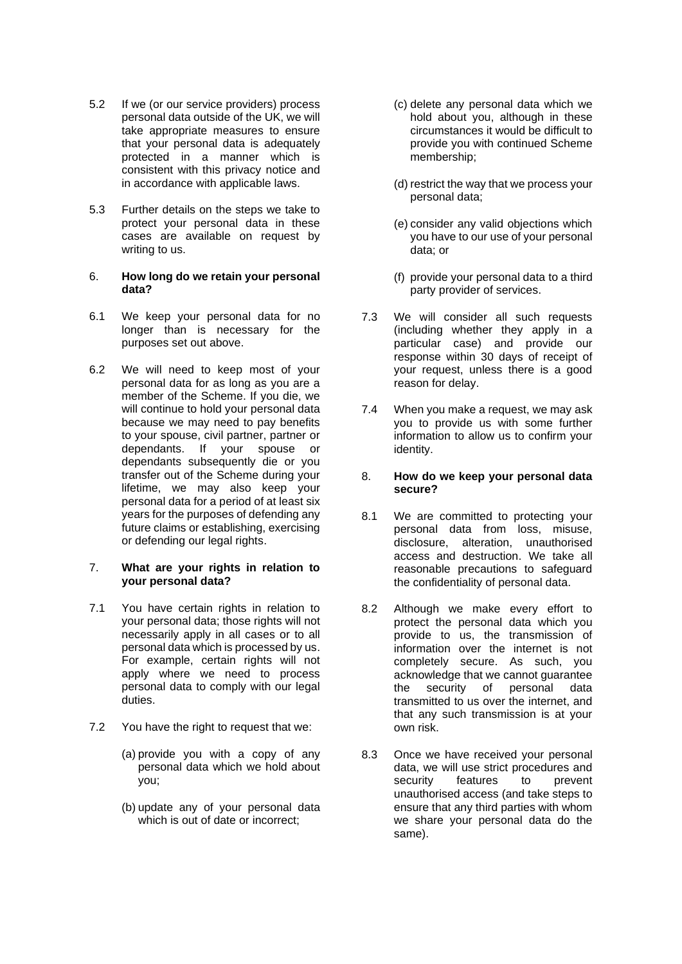- 5.2 If we (or our service providers) process personal data outside of the UK, we will take appropriate measures to ensure that your personal data is adequately protected in a manner which is consistent with this privacy notice and in accordance with applicable laws.
- 5.3 Further details on the steps we take to protect your personal data in these cases are available on request by writing to us.

## 6. **How long do we retain your personal data?**

- 6.1 We keep your personal data for no longer than is necessary for the purposes set out above.
- 6.2 We will need to keep most of your personal data for as long as you are a member of the Scheme. If you die, we will continue to hold your personal data because we may need to pay benefits to your spouse, civil partner, partner or dependants. If your spouse or dependants subsequently die or you transfer out of the Scheme during your lifetime, we may also keep your personal data for a period of at least six years for the purposes of defending any future claims or establishing, exercising or defending our legal rights.

## 7. **What are your rights in relation to your personal data?**

- 7.1 You have certain rights in relation to your personal data; those rights will not necessarily apply in all cases or to all personal data which is processed by us. For example, certain rights will not apply where we need to process personal data to comply with our legal duties.
- 7.2 You have the right to request that we:
	- (a) provide you with a copy of any personal data which we hold about you;
	- (b) update any of your personal data which is out of date or incorrect:
- (c) delete any personal data which we hold about you, although in these circumstances it would be difficult to provide you with continued Scheme membership;
- (d) restrict the way that we process your personal data;
- (e) consider any valid objections which you have to our use of your personal data; or
- (f) provide your personal data to a third party provider of services.
- 7.3 We will consider all such requests (including whether they apply in a particular case) and provide our response within 30 days of receipt of your request, unless there is a good reason for delay.
- 7.4 When you make a request, we may ask you to provide us with some further information to allow us to confirm your identity.

## 8. **How do we keep your personal data secure?**

- 8.1 We are committed to protecting your personal data from loss, misuse, disclosure, alteration, unauthorised access and destruction. We take all reasonable precautions to safeguard the confidentiality of personal data.
- 8.2 Although we make every effort to protect the personal data which you provide to us, the transmission of information over the internet is not completely secure. As such, you acknowledge that we cannot guarantee the security of personal data transmitted to us over the internet, and that any such transmission is at your own risk.
- 8.3 Once we have received your personal data, we will use strict procedures and security features to prevent unauthorised access (and take steps to ensure that any third parties with whom we share your personal data do the same).